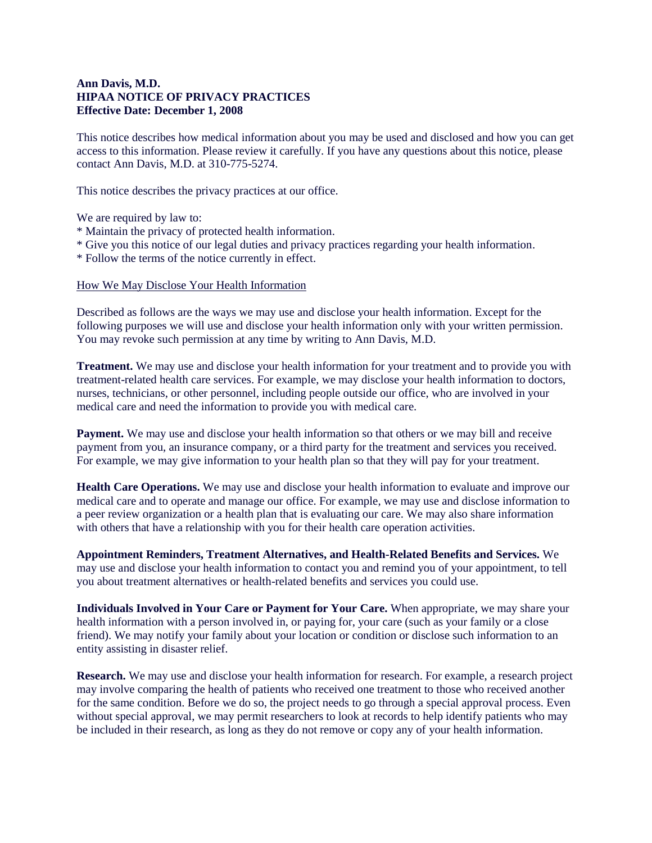## **Ann Davis, M.D. HIPAA NOTICE OF PRIVACY PRACTICES Effective Date: December 1, 2008**

This notice describes how medical information about you may be used and disclosed and how you can get access to this information. Please review it carefully. If you have any questions about this notice, please contact Ann Davis, M.D. at 310-775-5274.

This notice describes the privacy practices at our office.

We are required by law to:

- \* Maintain the privacy of protected health information.
- \* Give you this notice of our legal duties and privacy practices regarding your health information.
- \* Follow the terms of the notice currently in effect.

## How We May Disclose Your Health Information

Described as follows are the ways we may use and disclose your health information. Except for the following purposes we will use and disclose your health information only with your written permission. You may revoke such permission at any time by writing to Ann Davis, M.D.

**Treatment.** We may use and disclose your health information for your treatment and to provide you with treatment-related health care services. For example, we may disclose your health information to doctors, nurses, technicians, or other personnel, including people outside our office, who are involved in your medical care and need the information to provide you with medical care.

Payment. We may use and disclose your health information so that others or we may bill and receive payment from you, an insurance company, or a third party for the treatment and services you received. For example, we may give information to your health plan so that they will pay for your treatment.

**Health Care Operations.** We may use and disclose your health information to evaluate and improve our medical care and to operate and manage our office. For example, we may use and disclose information to a peer review organization or a health plan that is evaluating our care. We may also share information with others that have a relationship with you for their health care operation activities.

**Appointment Reminders, Treatment Alternatives, and Health-Related Benefits and Services.** We may use and disclose your health information to contact you and remind you of your appointment, to tell you about treatment alternatives or health-related benefits and services you could use.

**Individuals Involved in Your Care or Payment for Your Care.** When appropriate, we may share your health information with a person involved in, or paying for, your care (such as your family or a close friend). We may notify your family about your location or condition or disclose such information to an entity assisting in disaster relief.

**Research.** We may use and disclose your health information for research. For example, a research project may involve comparing the health of patients who received one treatment to those who received another for the same condition. Before we do so, the project needs to go through a special approval process. Even without special approval, we may permit researchers to look at records to help identify patients who may be included in their research, as long as they do not remove or copy any of your health information.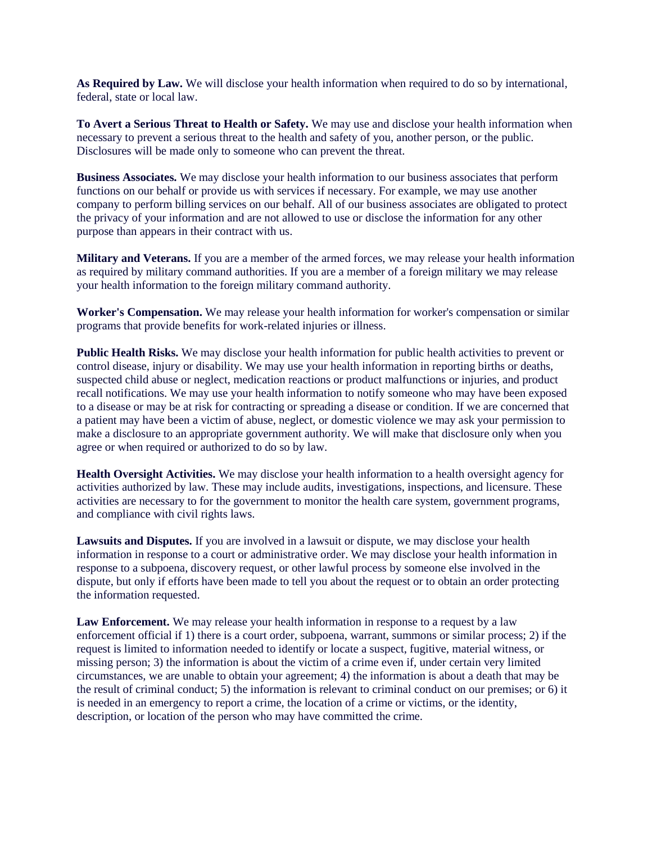**As Required by Law.** We will disclose your health information when required to do so by international, federal, state or local law.

**To Avert a Serious Threat to Health or Safety.** We may use and disclose your health information when necessary to prevent a serious threat to the health and safety of you, another person, or the public. Disclosures will be made only to someone who can prevent the threat.

**Business Associates.** We may disclose your health information to our business associates that perform functions on our behalf or provide us with services if necessary. For example, we may use another company to perform billing services on our behalf. All of our business associates are obligated to protect the privacy of your information and are not allowed to use or disclose the information for any other purpose than appears in their contract with us.

**Military and Veterans.** If you are a member of the armed forces, we may release your health information as required by military command authorities. If you are a member of a foreign military we may release your health information to the foreign military command authority.

**Worker's Compensation.** We may release your health information for worker's compensation or similar programs that provide benefits for work-related injuries or illness.

**Public Health Risks.** We may disclose your health information for public health activities to prevent or control disease, injury or disability. We may use your health information in reporting births or deaths, suspected child abuse or neglect, medication reactions or product malfunctions or injuries, and product recall notifications. We may use your health information to notify someone who may have been exposed to a disease or may be at risk for contracting or spreading a disease or condition. If we are concerned that a patient may have been a victim of abuse, neglect, or domestic violence we may ask your permission to make a disclosure to an appropriate government authority. We will make that disclosure only when you agree or when required or authorized to do so by law.

**Health Oversight Activities.** We may disclose your health information to a health oversight agency for activities authorized by law. These may include audits, investigations, inspections, and licensure. These activities are necessary to for the government to monitor the health care system, government programs, and compliance with civil rights laws.

**Lawsuits and Disputes.** If you are involved in a lawsuit or dispute, we may disclose your health information in response to a court or administrative order. We may disclose your health information in response to a subpoena, discovery request, or other lawful process by someone else involved in the dispute, but only if efforts have been made to tell you about the request or to obtain an order protecting the information requested.

Law Enforcement. We may release your health information in response to a request by a law enforcement official if 1) there is a court order, subpoena, warrant, summons or similar process; 2) if the request is limited to information needed to identify or locate a suspect, fugitive, material witness, or missing person; 3) the information is about the victim of a crime even if, under certain very limited circumstances, we are unable to obtain your agreement; 4) the information is about a death that may be the result of criminal conduct; 5) the information is relevant to criminal conduct on our premises; or 6) it is needed in an emergency to report a crime, the location of a crime or victims, or the identity, description, or location of the person who may have committed the crime.